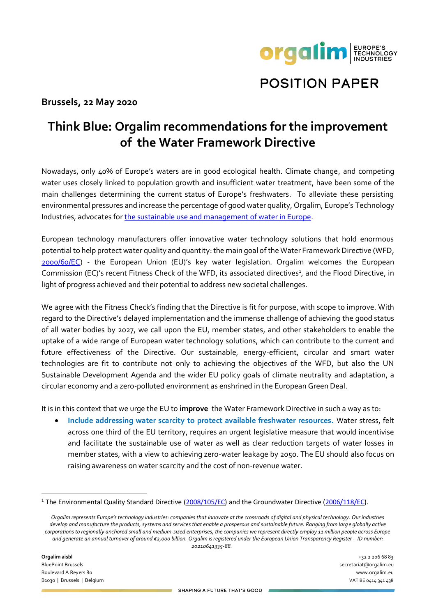

## **POSITION PAPER**

## **Brussels, 22 May 2020**

## **Think Blue: Orgalim recommendations for the improvement of the Water Framework Directive**

Nowadays, only 40% of Europe's waters are in good ecological health. Climate change, and competing water uses closely linked to population growth and insufficient water treatment, have been some of the main challenges determining the current status of Europe's freshwaters. To alleviate these persisting environmental pressures and increase the percentage of good water quality, Orgalim, Europe's Technology Industries, advocates for [the sustainable use and management](https://www.orgalim.eu/position-papers/environment-european-technology-industries-priorities-sustainable-use-and) of water in Europe.

European technology manufacturers offer innovative water technology solutions that hold enormous potential to help protect water quality and quantity: the main goal of the Water Framework Directive (WFD, [2000/60/EC\)](https://eur-lex.europa.eu/legal-content/EN/TXT/?uri=CELEX:32000L0060) - the European Union (EU)'s key water legislation. Orgalim welcomes the European Commission (EC)'s recent Fitness Check of the WFD, its associated directives<sup>1</sup>, and the Flood Directive, in light of progress achieved and their potential to address new societal challenges.

We agree with the Fitness Check's finding that the Directive is fit for purpose, with scope to improve. With regard to the Directive's delayed implementation and the immense challenge of achieving the good status of all water bodies by 2027, we call upon the EU, member states, and other stakeholders to enable the uptake of a wide range of European water technology solutions, which can contribute to the current and future effectiveness of the Directive. Our sustainable, energy-efficient, circular and smart water technologies are fit to contribute not only to achieving the objectives of the WFD, but also the UN Sustainable Development Agenda and the wider EU policy goals of climate neutrality and adaptation, a circular economy and a zero-polluted environment as enshrined in the European Green Deal.

It is in this context that we urge the EU to **improve** the Water Framework Directive in such a way as to:

• **Include addressing water scarcity to protect available freshwater resources.** Water stress, felt across one third of the EU territory, requires an urgent legislative measure that would incentivise and facilitate the sustainable use of water as well as clear reduction targets of water losses in member states, with a view to achieving zero-water leakage by 2050. The EU should also focus on raising awareness on water scarcity and the cost of non-revenue water.

<sup>&</sup>lt;sup>1</sup> The Environmental Quality Standard Directive [\(2008/105/EC\)](https://eur-lex.europa.eu/legal-content/en/TXT/?uri=CELEX:32008L0105) and the Groundwater Directive [\(2006/118/EC\)](https://eur-lex.europa.eu/legal-content/EN/TXT/?uri=CELEX:02006L0118-20140711).

*Orgalim represents Europe's technology industries: companies that innovate at the crossroads of digital and physical technology. Our industries develop and manufacture the products, systems and services that enable a prosperous and sustainable future. Ranging from large globally active corporations to regionally anchored small and medium-sized enterprises, the companies we represent directly employ 11 million people across Europe and generate an annual turnover of around €2,000 billion. Orgalim is registered under the European Union Transparency Register – ID number: 20210641335-88.*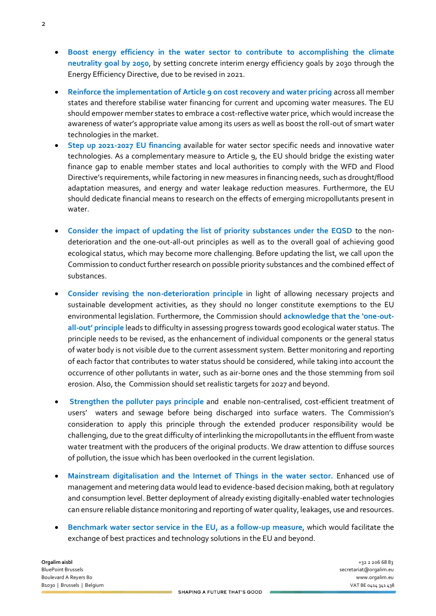- **Boost energy efficiency in the water sector to contribute to accomplishing the climate neutrality goal by 2050**, by setting concrete interim energy efficiency goals by 2030 through the Energy Efficiency Directive, due to be revised in 2021.
- **Reinforce the implementation of Article 9 on cost recovery and water pricing** across all member states and therefore stabilise water financing for current and upcoming water measures. The EU should empower member states to embrace a cost-reflective water price, which would increase the awareness of water's appropriate value among its users as well as boost the roll-out of smart water technologies in the market.
- **Step up 2021-2027 EU financing** available for water sector specific needs and innovative water technologies. As a complementary measure to Article 9, the EU should bridge the existing water finance gap to enable member states and local authorities to comply with the WFD and Flood Directive's requirements, while factoring in new measures in financing needs, such as drought/flood adaptation measures, and energy and water leakage reduction measures. Furthermore, the EU should dedicate financial means to research on the effects of emerging micropollutants present in water.
- **Consider the impact of updating the list of priority substances under the EQSD** to the nondeterioration and the one-out-all-out principles as well as to the overall goal of achieving good ecological status, which may become more challenging. Before updating the list, we call upon the Commission to conduct further research on possible priority substances and the combined effect of substances.
- **Consider revising the non-deterioration principle** in light of allowing necessary projects and sustainable development activities, as they should no longer constitute exemptions to the EU environmental legislation. Furthermore, the Commission should **acknowledge that the 'one-outall-out' principle** leads to difficulty in assessing progress towards good ecological water status. The principle needs to be revised, as the enhancement of individual components or the general status of water body is not visible due to the current assessment system. Better monitoring and reporting of each factor that contributes to water status should be considered, while taking into account the occurrence of other pollutants in water, such as air-borne ones and the those stemming from soil erosion. Also, the Commission should set realistic targets for 2027 and beyond.
- **Strengthen the polluter pays principle** and enable non-centralised, cost-efficient treatment of users' waters and sewage before being discharged into surface waters. The Commission's consideration to apply this principle through the extended producer responsibility would be challenging, due to the great difficulty of interlinking the micropollutants in the effluent from waste water treatment with the producers of the original products. We draw attention to diffuse sources of pollution, the issue which has been overlooked in the current legislation.
- **Mainstream digitalisation and the Internet of Things in the water sector.** Enhanced use of management and metering data would lead to evidence-based decision making, both at regulatory and consumption level. Better deployment of already existing digitally-enabled water technologies can ensure reliable distance monitoring and reporting of water quality, leakages, use and resources.
- **Benchmark water sector service in the EU, as a follow-up measure**, which would facilitate the exchange of best practices and technology solutions in the EU and beyond.

**Orgalim aisbl** +32 2 206 68 83 BluePoint Brussels secretariat@orgalim.eu Boulevard A Reyers 80 www.orgalim.eu B1030 | Brussels | Belgium VAT BE 0414 341 438